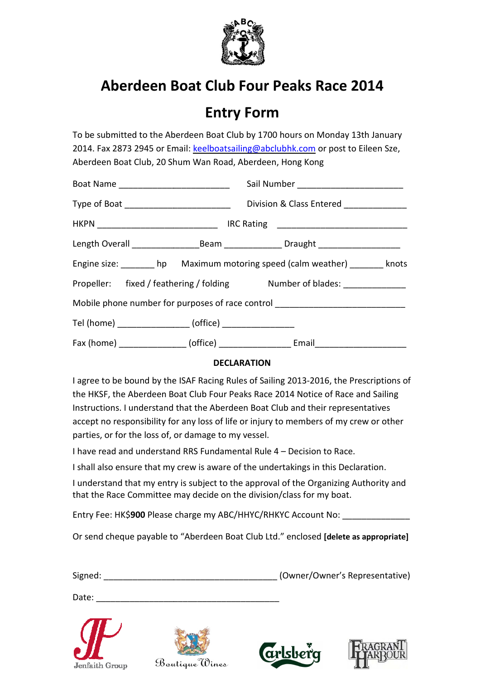

### Entry Form

To be submitted to the Aberdeen Boat Club by 1700 hours on Monday 13th January 2014. Fax 2873 2945 or Email: keelboatsailing@abclubhk.com or post to Eileen Sze, Aberdeen Boat Club, 20 Shum Wan Road, Aberdee Aberdeen, Hong Kong

| Type of Boat _____________________________                                       |  | Division & Class Entered ______________                                                             |  |  |  |
|----------------------------------------------------------------------------------|--|-----------------------------------------------------------------------------------------------------|--|--|--|
|                                                                                  |  |                                                                                                     |  |  |  |
|                                                                                  |  | Length Overall ______________________Beam __________________Draught _______________________________ |  |  |  |
|                                                                                  |  | Engine size: hp Maximum motoring speed (calm weather) _______ knots                                 |  |  |  |
| Propeller: fixed / feathering / folding Mumber of blades: ______________         |  |                                                                                                     |  |  |  |
| Mobile phone number for purposes of race control _______________________________ |  |                                                                                                     |  |  |  |
| Tel (home) __________________ (office) _________________                         |  |                                                                                                     |  |  |  |
|                                                                                  |  |                                                                                                     |  |  |  |

#### **DECLARATION**

I agree to be bound by the ISAF Racing Rules of Sailing 2013-2016, the Prescriptions of the HKSF, the Aberdeen Boat Club Four Peaks Race 201 2014 Notice of Race and Sailing Instructions. I understand that the Aberdeen Boat Club and their representatives accept no responsibility for any loss of life or injury to members of my crew or other parties, or for the loss of, or damage to my vessel.

I have read and understand RRS Fundamental Rule 4 - Decision to Race.

I shall also ensure that my crew is aware of the undertakings in this Declaration.

I understand that my entry is subject to the approval of the Organizing Authority and that the Race Committee may decide on the division/class for my boat.

Entry Fee: HK\$900 Please charge my ABC/HHYC/RHKYC Account No: \_\_\_\_\_\_\_\_\_\_\_\_\_\_\_\_\_\_

Or send cheque payable to "Aberdeen Boat Club Ltd." enclosed [delete as appropriate]

| Signed: | (Owner/Owner's Representative) |
|---------|--------------------------------|
|         |                                |

Date:





\_\_\_\_\_\_\_\_\_\_\_\_\_\_\_\_\_\_\_\_\_\_\_\_\_\_\_\_\_\_\_\_\_\_



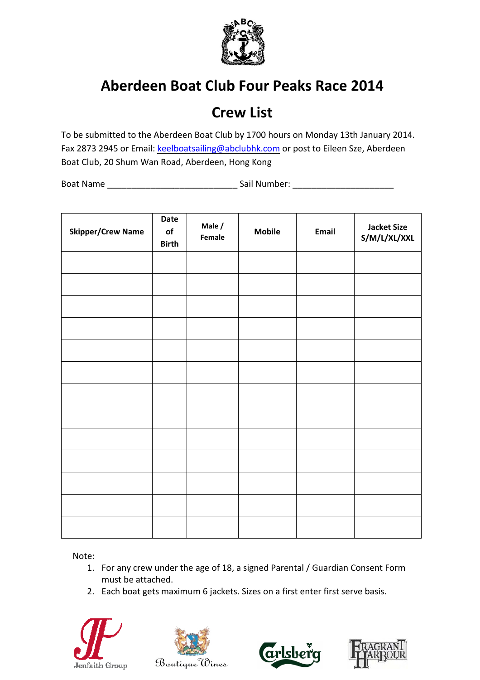

### Crew List

To be submitted to the Aberdeen Boat Club by 1700 hours on Monday 13th January 2014. Fax 2873 2945 or Email: keelboatsailing@abclubhk.com or post to Eileen Sze, Aberdeen Boat Club, 20 Shum Wan Road, Aberdeen, Hong Kong

Boat Name \_\_\_\_\_\_\_\_\_\_\_\_\_\_\_\_\_\_\_\_\_\_ \_\_\_\_\_\_\_\_\_\_\_\_\_\_\_\_\_\_\_\_\_\_\_\_\_\_\_ Sail Number: \_\_\_\_\_\_\_\_\_\_\_\_\_\_\_\_\_\_ \_\_\_\_\_\_\_\_\_\_\_\_\_\_\_\_\_\_\_\_\_

| <b>Skipper/Crew Name</b> | Date<br>$\mathsf{of}$<br><b>Birth</b> | Male /<br>Female | <b>Mobile</b> | Email | <b>Jacket Size</b><br>S/M/L/XL/XXL |
|--------------------------|---------------------------------------|------------------|---------------|-------|------------------------------------|
|                          |                                       |                  |               |       |                                    |
|                          |                                       |                  |               |       |                                    |
|                          |                                       |                  |               |       |                                    |
|                          |                                       |                  |               |       |                                    |
|                          |                                       |                  |               |       |                                    |
|                          |                                       |                  |               |       |                                    |
|                          |                                       |                  |               |       |                                    |
|                          |                                       |                  |               |       |                                    |
|                          |                                       |                  |               |       |                                    |
|                          |                                       |                  |               |       |                                    |
|                          |                                       |                  |               |       |                                    |
|                          |                                       |                  |               |       |                                    |
|                          |                                       |                  |               |       |                                    |

Note:

- 1. For any crew under the age of 18, a signed Parental / Guardian Consent Form must be attached.
- 2. Each boat gets maximum 6 jackets. Sizes on a first enter first serve basis.







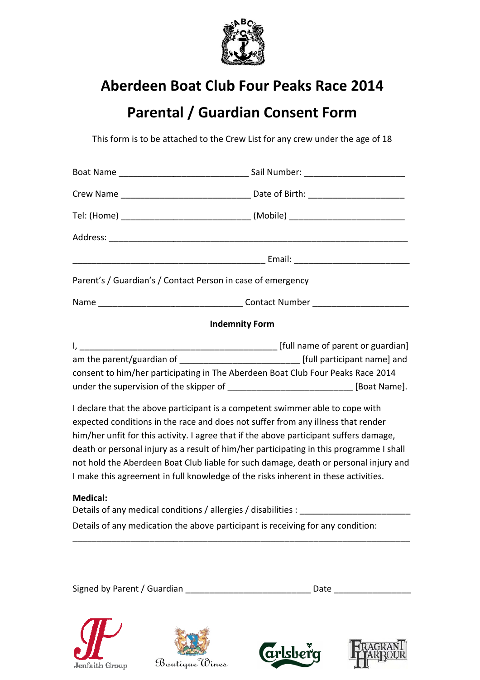

### Parental / Guardian Consent Form

This form is to be attached to the Crew List for any crew under the age of 18

| Parent's / Guardian's / Contact Person in case of emergency                                                                                                                                                                                                                                                                                                                                                                                                                                                                                                                                                                                                                                                                                                                                               |  |  |  |  |
|-----------------------------------------------------------------------------------------------------------------------------------------------------------------------------------------------------------------------------------------------------------------------------------------------------------------------------------------------------------------------------------------------------------------------------------------------------------------------------------------------------------------------------------------------------------------------------------------------------------------------------------------------------------------------------------------------------------------------------------------------------------------------------------------------------------|--|--|--|--|
|                                                                                                                                                                                                                                                                                                                                                                                                                                                                                                                                                                                                                                                                                                                                                                                                           |  |  |  |  |
| <b>Indemnity Form</b>                                                                                                                                                                                                                                                                                                                                                                                                                                                                                                                                                                                                                                                                                                                                                                                     |  |  |  |  |
| am the parent/guardian of _______________________________ [full participant name] and<br>consent to him/her participating in The Aberdeen Boat Club Four Peaks Race 2014<br>under the supervision of the skipper of ________________________________ [Boat Name].<br>I declare that the above participant is a competent swimmer able to cope with<br>expected conditions in the race and does not suffer from any illness that render<br>him/her unfit for this activity. I agree that if the above participant suffers damage,<br>death or personal injury as a result of him/her participating in this programme I shall<br>not hold the Aberdeen Boat Club liable for such damage, death or personal injury and<br>I make this agreement in full knowledge of the risks inherent in these activities. |  |  |  |  |
| <b>Medical:</b><br>Details of any medical conditions / allergies / disabilities : _________________                                                                                                                                                                                                                                                                                                                                                                                                                                                                                                                                                                                                                                                                                                       |  |  |  |  |
| Details of any medication the above participant is receiving for any condition:                                                                                                                                                                                                                                                                                                                                                                                                                                                                                                                                                                                                                                                                                                                           |  |  |  |  |

Signed by Parent / Guardian \_\_\_\_\_\_\_\_\_\_\_\_\_\_\_\_\_\_\_\_\_\_\_\_\_\_ Date \_\_\_\_\_\_\_\_\_\_\_\_\_\_\_\_

\_\_\_\_\_\_\_\_\_\_\_\_\_\_\_\_\_\_\_\_\_\_\_\_\_\_\_\_\_\_\_\_\_\_\_\_\_\_\_\_\_\_\_\_\_\_\_\_\_\_\_\_\_\_\_\_\_\_\_\_\_\_\_\_\_\_\_\_\_\_